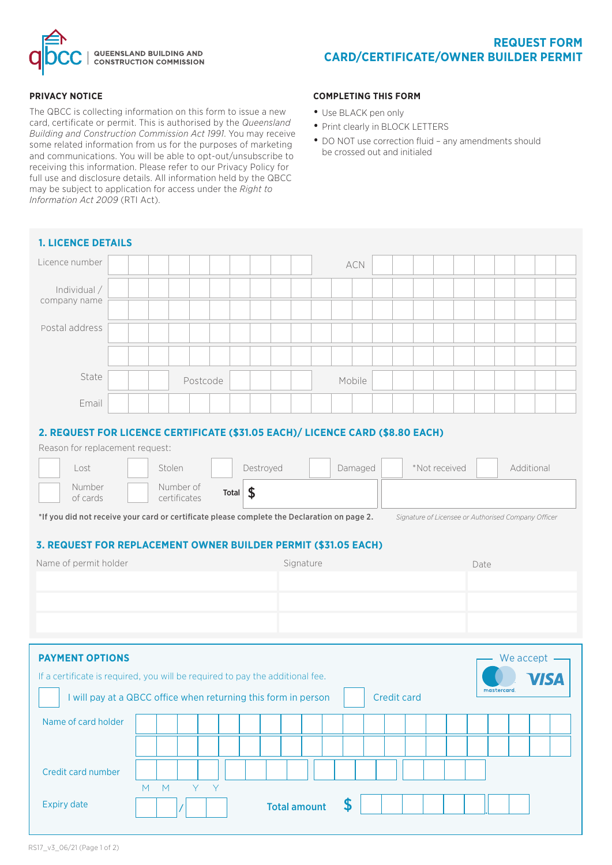

## **PRIVACY NOTICE**

The QBCC is collecting information on this form to issue a new card, certificate or permit. This is authorised by the *Queensland Building and Construction Commission Act 1991*. You may receive some related information from us for the purposes of marketing and communications. You will be able to opt-out/unsubscribe to receiving this information. Please refer to our Privacy Policy for full use and disclosure details. All information held by the QBCC may be subject to application for access under the *Right to Information Act 2009* (RTI Act).

## **COMPLETING THIS FORM**

- Use BLACK pen only
- Print clearly in BLOCK LETTERS
- DO NOT use correction fluid any amendments should be crossed out and initialed

| <b>1. LICENCE DETAILS</b>                                                                                                                                                                                                                                                                                                                                                                                                                                                       |     |          |   |  |                     |        |                           |  |  |  |  |  |  |  |  |
|---------------------------------------------------------------------------------------------------------------------------------------------------------------------------------------------------------------------------------------------------------------------------------------------------------------------------------------------------------------------------------------------------------------------------------------------------------------------------------|-----|----------|---|--|---------------------|--------|---------------------------|--|--|--|--|--|--|--|--|
| Licence number                                                                                                                                                                                                                                                                                                                                                                                                                                                                  |     |          |   |  |                     |        | ACN                       |  |  |  |  |  |  |  |  |
| Individual /<br>company name                                                                                                                                                                                                                                                                                                                                                                                                                                                    |     |          |   |  |                     |        |                           |  |  |  |  |  |  |  |  |
| Postal address                                                                                                                                                                                                                                                                                                                                                                                                                                                                  |     |          |   |  |                     |        |                           |  |  |  |  |  |  |  |  |
| State                                                                                                                                                                                                                                                                                                                                                                                                                                                                           |     | Postcode |   |  |                     | Mobile |                           |  |  |  |  |  |  |  |  |
| Email                                                                                                                                                                                                                                                                                                                                                                                                                                                                           |     |          |   |  |                     |        |                           |  |  |  |  |  |  |  |  |
| Reason for replacement request:<br>*Not received<br>Additional<br>Stolen<br>Destroyed<br>Damaged<br>Lost<br>Number<br>Number of<br>$\boldsymbol{\mathsf{\$}}$<br><b>Total</b><br>of cards<br>certificates<br>*If you did not receive your card or certificate please complete the Declaration on page 2.<br>Signature of Licensee or Authorised Company Officer<br>3. REQUEST FOR REPLACEMENT OWNER BUILDER PERMIT (\$31.05 EACH)<br>Name of permit holder<br>Signature<br>Date |     |          |   |  |                     |        |                           |  |  |  |  |  |  |  |  |
|                                                                                                                                                                                                                                                                                                                                                                                                                                                                                 |     |          |   |  |                     |        |                           |  |  |  |  |  |  |  |  |
| <b>PAYMENT OPTIONS</b><br>We accept<br>If a certificate is required, you will be required to pay the additional fee.<br>mastercard.<br>I will pay at a QBCC office when returning this form in person<br><b>Credit card</b>                                                                                                                                                                                                                                                     |     |          |   |  |                     |        |                           |  |  |  |  |  |  |  |  |
| Name of card holder                                                                                                                                                                                                                                                                                                                                                                                                                                                             |     |          |   |  |                     |        |                           |  |  |  |  |  |  |  |  |
| Credit card number                                                                                                                                                                                                                                                                                                                                                                                                                                                              | M M | Y        | Y |  |                     |        |                           |  |  |  |  |  |  |  |  |
| <b>Expiry date</b>                                                                                                                                                                                                                                                                                                                                                                                                                                                              |     |          |   |  | <b>Total amount</b> |        | $\boldsymbol{\mathsf{S}}$ |  |  |  |  |  |  |  |  |